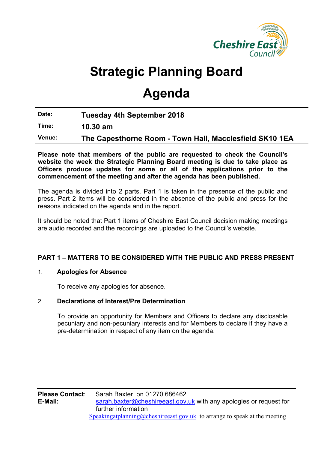

# **Strategic Planning Board**

# **Agenda**

**Date: Tuesday 4th September 2018**

**Time: 10.30 am**

**Venue: The Capesthorne Room - Town Hall, Macclesfield SK10 1EA**

**Please note that members of the public are requested to check the Council's website the week the Strategic Planning Board meeting is due to take place as Officers produce updates for some or all of the applications prior to the commencement of the meeting and after the agenda has been published.**

The agenda is divided into 2 parts. Part 1 is taken in the presence of the public and press. Part 2 items will be considered in the absence of the public and press for the reasons indicated on the agenda and in the report.

It should be noted that Part 1 items of Cheshire East Council decision making meetings are audio recorded and the recordings are uploaded to the Council's website.

## **PART 1 – MATTERS TO BE CONSIDERED WITH THE PUBLIC AND PRESS PRESENT**

#### 1. **Apologies for Absence**

To receive any apologies for absence.

#### 2. **Declarations of Interest/Pre Determination**

To provide an opportunity for Members and Officers to declare any disclosable pecuniary and non-pecuniary interests and for Members to declare if they have a pre-determination in respect of any item on the agenda.